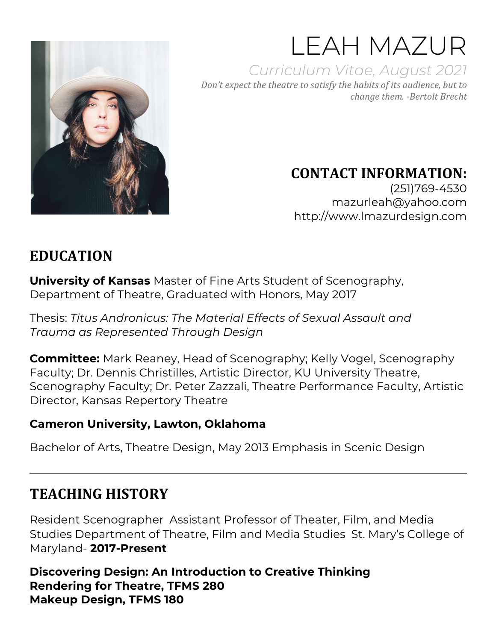

LEAH MAZUR *Curriculum Vitae, August 2021 Don't* expect the theatre to satisfy the habits of its audience, but to *change them. -Bertolt Brecht*

# **CONTACT INFORMATION:**

(251)769-4530 mazurleah@yahoo.com http://www.lmazurdesign.com

## **EDUCATION**

**University of Kansas** Master of Fine Arts Student of Scenography, Department of Theatre, Graduated with Honors, May 2017

Thesis: *Titus Andronicus: The Material Effects of Sexual Assault and Trauma as Represented Through Design* 

**Committee:** Mark Reaney, Head of Scenography; Kelly Vogel, Scenography Faculty; Dr. Dennis Christilles, Artistic Director, KU University Theatre, Scenography Faculty; Dr. Peter Zazzali, Theatre Performance Faculty, Artistic Director, Kansas Repertory Theatre

#### **Cameron University, Lawton, Oklahoma**

Bachelor of Arts, Theatre Design, May 2013 Emphasis in Scenic Design

## **TEACHING HISTORY**

Resident Scenographer Assistant Professor of Theater, Film, and Media Studies Department of Theatre, Film and Media Studies St. Mary's College of Maryland- **2017-Present**

**Discovering Design: An Introduction to Creative Thinking Rendering for Theatre, TFMS 280 Makeup Design, TFMS 180**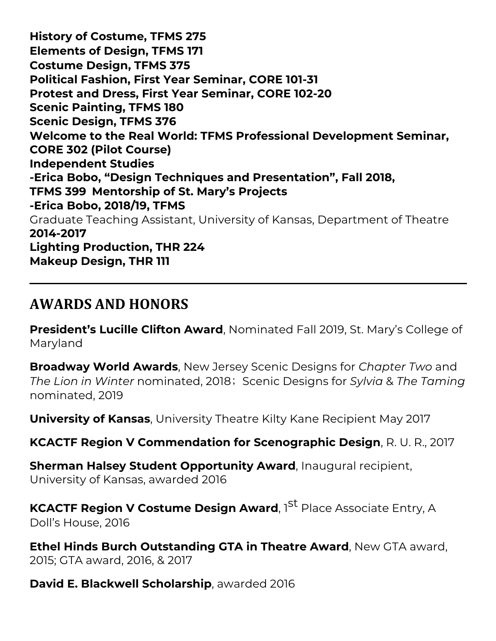**History of Costume, TFMS 275 Elements of Design, TFMS 171 Costume Design, TFMS 375 Political Fashion, First Year Seminar, CORE 101-31 Protest and Dress, First Year Seminar, CORE 102-20 Scenic Painting, TFMS 180 Scenic Design, TFMS 376 Welcome to the Real World: TFMS Professional Development Seminar, CORE 302 (Pilot Course) Independent Studies -Erica Bobo, "Design Techniques and Presentation", Fall 2018, TFMS 399 Mentorship of St. Mary's Projects -Erica Bobo, 2018/19, TFMS**  Graduate Teaching Assistant, University of Kansas, Department of Theatre **2014-2017 Lighting Production, THR 224 Makeup Design, THR 111** 

#### **AWARDS AND HONORS**

**President's Lucille Clifton Award**, Nominated Fall 2019, St. Mary's College of Maryland

**Broadway World Awards**, New Jersey Scenic Designs for *Chapter Two* and *The Lion in Winter* nominated, 2018; Scenic Designs for *Sylvia* & *The Taming* nominated, 2019

**University of Kansas**, University Theatre Kilty Kane Recipient May 2017

**KCACTF Region V Commendation for Scenographic Design**, R. U. R., 2017

**Sherman Halsey Student Opportunity Award**, Inaugural recipient, University of Kansas, awarded 2016

**KCACTF Region V Costume Design Award**, 1<sup>St</sup> Place Associate Entry. A Doll's House, 2016

**Ethel Hinds Burch Outstanding GTA in Theatre Award**, New GTA award, 2015; GTA award, 2016, & 2017

**David E. Blackwell Scholarship**, awarded 2016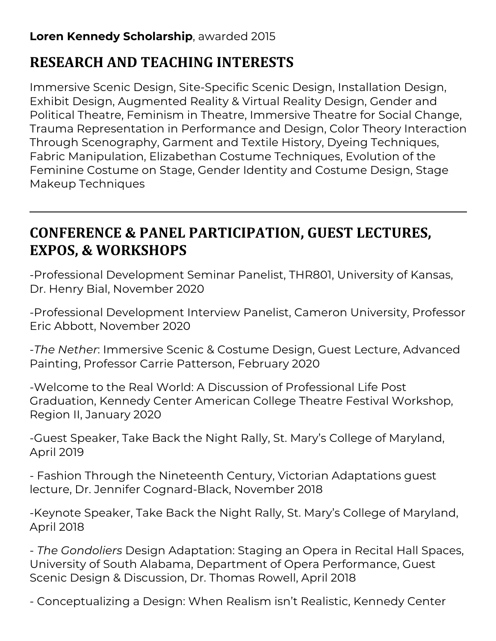#### **Loren Kennedy Scholarship**, awarded 2015

# **RESEARCH AND TEACHING INTERESTS**

Immersive Scenic Design, Site-Specific Scenic Design, Installation Design, Exhibit Design, Augmented Reality & Virtual Reality Design, Gender and Political Theatre, Feminism in Theatre, Immersive Theatre for Social Change, Trauma Representation in Performance and Design, Color Theory Interaction Through Scenography, Garment and Textile History, Dyeing Techniques, Fabric Manipulation, Elizabethan Costume Techniques, Evolution of the Feminine Costume on Stage, Gender Identity and Costume Design, Stage Makeup Techniques

# **CONFERENCE & PANEL PARTICIPATION, GUEST LECTURES, EXPOS, & WORKSHOPS**

-Professional Development Seminar Panelist, THR801, University of Kansas, Dr. Henry Bial, November 2020

-Professional Development Interview Panelist, Cameron University, Professor Eric Abbott, November 2020

-*The Nether*: Immersive Scenic & Costume Design, Guest Lecture, Advanced Painting, Professor Carrie Patterson, February 2020

-Welcome to the Real World: A Discussion of Professional Life Post Graduation, Kennedy Center American College Theatre Festival Workshop, Region II, January 2020

-Guest Speaker, Take Back the Night Rally, St. Mary's College of Maryland, April 2019

- Fashion Through the Nineteenth Century, Victorian Adaptations guest lecture, Dr. Jennifer Cognard-Black, November 2018

-Keynote Speaker, Take Back the Night Rally, St. Mary's College of Maryland, April 2018

- *The Gondoliers* Design Adaptation: Staging an Opera in Recital Hall Spaces, University of South Alabama, Department of Opera Performance, Guest Scenic Design & Discussion, Dr. Thomas Rowell, April 2018

- Conceptualizing a Design: When Realism isn't Realistic, Kennedy Center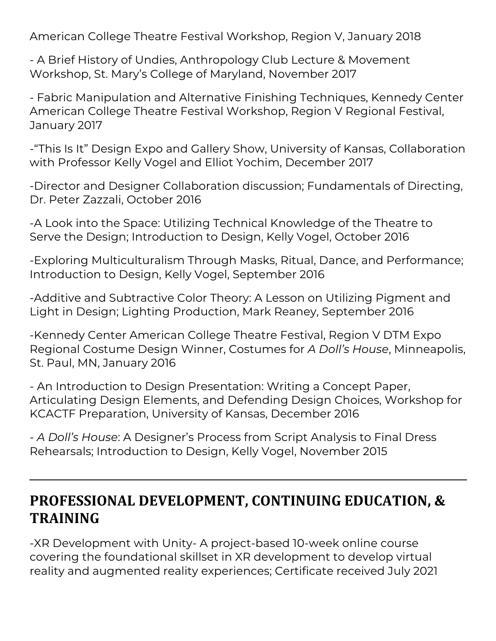American College Theatre Festival Workshop, Region V, January 2018

- A Brief History of Undies, Anthropology Club Lecture & Movement Workshop, St. Mary's College of Maryland, November 2017

- Fabric Manipulation and Alternative Finishing Techniques, Kennedy Center American College Theatre Festival Workshop, Region V Regional Festival, January 2017

-"This Is It" Design Expo and Gallery Show, University of Kansas, Collaboration with Professor Kelly Vogel and Elliot Yochim, December 2017

-Director and Designer Collaboration discussion; Fundamentals of Directing, Dr. Peter Zazzali, October 2016

-A Look into the Space: Utilizing Technical Knowledge of the Theatre to Serve the Design; Introduction to Design, Kelly Vogel, October 2016

-Exploring Multiculturalism Through Masks, Ritual, Dance, and Performance; Introduction to Design, Kelly Vogel, September 2016

-Additive and Subtractive Color Theory: A Lesson on Utilizing Pigment and Light in Design; Lighting Production, Mark Reaney, September 2016

-Kennedy Center American College Theatre Festival, Region V DTM Expo Regional Costume Design Winner, Costumes for *A Doll's House*, Minneapolis, St. Paul, MN, January 2016

- An Introduction to Design Presentation: Writing a Concept Paper, Articulating Design Elements, and Defending Design Choices, Workshop for KCACTF Preparation, University of Kansas, December 2016

- *A Doll's House*: A Designer's Process from Script Analysis to Final Dress Rehearsals; Introduction to Design, Kelly Vogel, November 2015

## **PROFESSIONAL DEVELOPMENT, CONTINUING EDUCATION, & TRAINING**

-XR Development with Unity- A project-based 10-week online course covering the foundational skillset in XR development to develop virtual reality and augmented reality experiences; Certificate received July 2021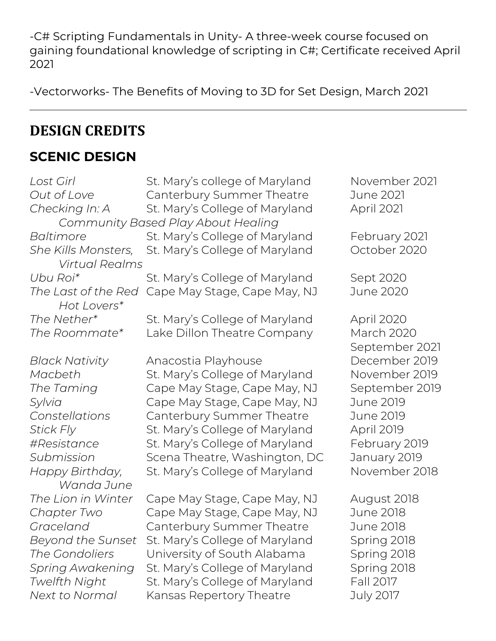-C# Scripting Fundamentals in Unity- A three-week course focused on gaining foundational knowledge of scripting in C#; Certificate received April 2021

-Vectorworks- The Benefits of Moving to 3D for Set Design, March 2021

#### **DESIGN CREDITS**

#### **SCENIC DESIGN**

| Lost Girl<br>Out of Love<br>Checking In: A   | St. Mary's college of Maryland<br>Canterbury Summer Theatre<br>St. Mary's College of Maryland | November 2021<br><b>June 2021</b><br>April 2021 |
|----------------------------------------------|-----------------------------------------------------------------------------------------------|-------------------------------------------------|
|                                              | Community Based Play About Healing                                                            |                                                 |
| Baltimore                                    | St. Mary's College of Maryland                                                                | February 2021                                   |
| She Kills Monsters,<br><b>Virtual Realms</b> | St. Mary's College of Maryland                                                                | October 2020                                    |
| Ubu Roi*                                     | St. Mary's College of Maryland                                                                | Sept 2020                                       |
| The Last of the Red<br>Hot Lovers*           | Cape May Stage, Cape May, NJ                                                                  | June 2020                                       |
| The Nether*                                  | St. Mary's College of Maryland                                                                | April 2020                                      |
| The Roommate*                                | Lake Dillon Theatre Company                                                                   | <b>March 2020</b><br>September 2021             |
| <b>Black Nativity</b>                        | Anacostia Playhouse                                                                           | December 2019                                   |
| Macbeth                                      | St. Mary's College of Maryland                                                                | November 2019                                   |
| The Taming                                   | Cape May Stage, Cape May, NJ                                                                  | September 2019                                  |
| Sylvia                                       | Cape May Stage, Cape May, NJ                                                                  | June 2019                                       |
| Constellations                               | Canterbury Summer Theatre                                                                     | June 2019                                       |
| <b>Stick Fly</b>                             | St. Mary's College of Maryland                                                                | <b>April 2019</b>                               |
| #Resistance                                  | St. Mary's College of Maryland                                                                | February 2019                                   |
| Submission                                   | Scena Theatre, Washington, DC                                                                 | January 2019                                    |
| Happy Birthday,<br>Wanda June                | St. Mary's College of Maryland                                                                | November 2018                                   |
| The Lion in Winter                           | Cape May Stage, Cape May, NJ                                                                  | August 2018                                     |
| Chapter Two                                  | Cape May Stage, Cape May, NJ                                                                  | June 2018                                       |
| Graceland                                    | Canterbury Summer Theatre                                                                     | June 2018                                       |
| <b>Beyond the Sunset</b>                     | St. Mary's College of Maryland                                                                | Spring 2018                                     |
| The Gondoliers                               | University of South Alabama                                                                   | Spring 2018                                     |
| <b>Spring Awakening</b>                      | St. Mary's College of Maryland                                                                | Spring 2018                                     |
| Twelfth Night                                | St. Mary's College of Maryland                                                                | Fall 2017                                       |
| Next to Normal                               | Kansas Repertory Theatre                                                                      | July 2017                                       |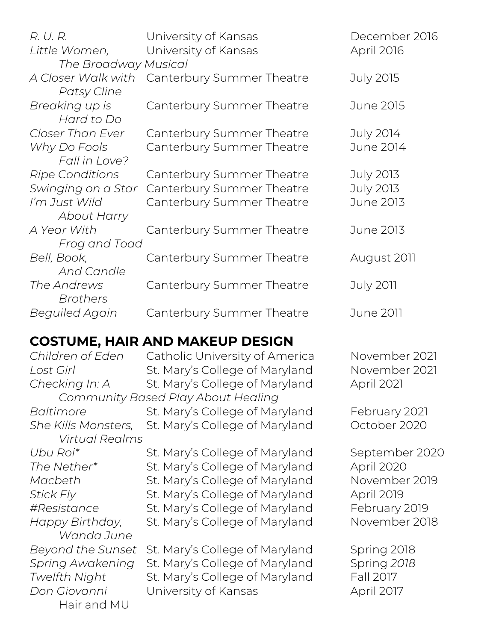| R. U. R.                          | University of Kansas      | December 2016     |
|-----------------------------------|---------------------------|-------------------|
| Little Women,                     | University of Kansas      | <b>April 2016</b> |
| The Broadway Musical              |                           |                   |
| A Closer Walk with<br>Patsy Cline | Canterbury Summer Theatre | <b>July 2015</b>  |
| Breaking up is<br>Hard to Do      | Canterbury Summer Theatre | June 2015         |
| Closer Than Ever                  | Canterbury Summer Theatre | July 2014         |
| Why Do Fools<br>Fall in Love?     | Canterbury Summer Theatre | June 2014         |
| <b>Ripe Conditions</b>            | Canterbury Summer Theatre | July 2013         |
| Swinging on a Star                | Canterbury Summer Theatre | July 2013         |
| I'm Just Wild                     | Canterbury Summer Theatre | June 2013         |
| About Harry                       |                           |                   |
| A Year With                       | Canterbury Summer Theatre | June 2013         |
| Frog and Toad                     |                           |                   |
| Bell, Book,                       | Canterbury Summer Theatre | August 2011       |
| <b>And Candle</b>                 |                           |                   |
| The Andrews                       | Canterbury Summer Theatre | July 2011         |
| <b>Brothers</b>                   |                           |                   |
| <b>Beguiled Again</b>             | Canterbury Summer Theatre | June 2011         |
|                                   |                           |                   |

#### **COSTUME, HAIR AND MAKEUP DESIGN**

*Virtual Realms Wanda June* Hair and MU

*Children of Eden* Catholic University of America November 2021 Lost Girl **St. Mary's College of Maryland** November 2021 *Checking In: A* St. Mary's College of Maryland April 2021 *Community Based Play About Healing Baltimore* St. Mary's College of Maryland February 2021 She Kills Monsters, St. Mary's College of Maryland October 2020 Ubu Roi<sup>\*</sup> St. Mary's College of Maryland September 2020 *The Nether\** St. Mary's College of Maryland April 2020 *Macbeth* St. Mary's College of Maryland November 2019 *Stick Fly* St. Mary's College of Maryland April 2019 *#Resistance* St. Mary's College of Maryland February 2019 Happy Birthday, St. Mary's College of Maryland November 2018 *Beyond the Sunset* St. Mary's College of Maryland Spring 2018 *Spring Awakening* St. Mary's College of Maryland Spring 2018 *Twelfth Night* St. Mary's College of Maryland Fall 2017 *Don Giovanni* University of Kansas April 2017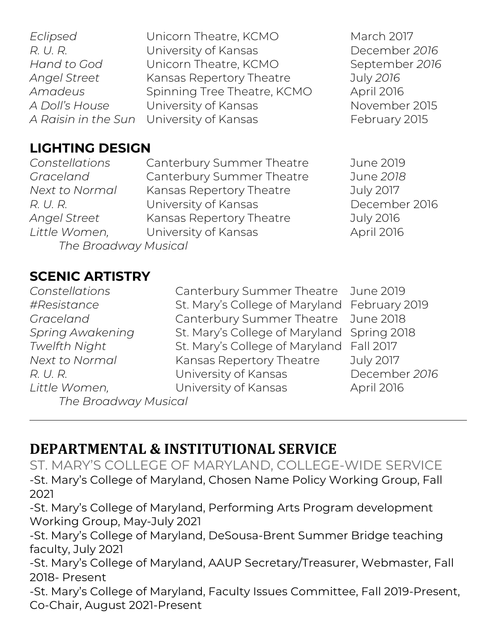| Eclipsed            |
|---------------------|
| R. U. R.            |
| Hand to God         |
| <b>Angel Street</b> |
| Amadeus             |
| A Doll's House      |
| A Raisin in the Sun |

**Example 2017** Unicorn Theatre, KCMO March 2017 *R. University of Kansas Manufacture Constrainer 2016* Unicorn Theatre, KCMO September 2016 *Angel Street* Kansas Repertory Theatre July *2016 Amadeus* Spinning Tree Theatre, KCMO April 2016 University of Kansas November 2015 *A Raisin in the Pairce Suniversity of Kansas* February 2015

#### **LIGHTING DESIGN**

*The Broadway Musical*

*Constellations* Canterbury Summer Theatre June 2019 *Graceland* Canterbury Summer Theatre June *2018 Next to Normal* Kansas Repertory Theatre July 2017 R. U. R. C. E. B. C. University of Kansas C. E. E. December 2016 *Angel Street* Kansas Repertory Theatre July 2016 Little Women, University of Kansas April 2016

#### **SCENIC ARTISTRY**

*The Broadway Musical*

*Constellations* Canterbury Summer Theatre June 2019 *#Resistance* St. Mary's College of Maryland February 2019 *Graceland* Canterbury Summer Theatre June 2018 *Spring Awakening* St. Mary's College of Maryland Spring 2018 *Twelfth Night* St. Mary's College of Maryland Fall 2017 *Next to Normal* Kansas Repertory Theatre July 2017 *R. U. R.* University of Kansas December *2016 Little Women,* University of Kansas April 2016

# **DEPARTMENTAL & INSTITUTIONAL SERVICE**

ST. MARY'S COLLEGE OF MARYLAND, COLLEGE-WIDE SERVICE -St. Mary's College of Maryland, Chosen Name Policy Working Group, Fall 2021

-St. Mary's College of Maryland, Performing Arts Program development Working Group, May-July 2021

-St. Mary's College of Maryland, DeSousa-Brent Summer Bridge teaching faculty, July 2021

-St. Mary's College of Maryland, AAUP Secretary/Treasurer, Webmaster, Fall 2018- Present

-St. Mary's College of Maryland, Faculty Issues Committee, Fall 2019-Present, Co-Chair, August 2021-Present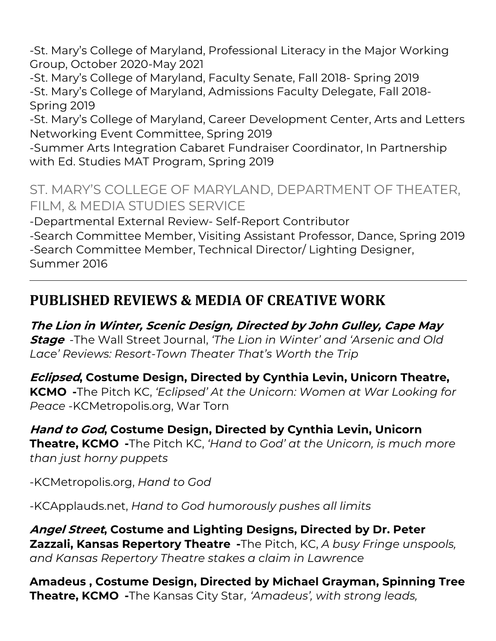-St. Mary's College of Maryland, Professional Literacy in the Major Working Group, October 2020-May 2021

-St. Mary's College of Maryland, Faculty Senate, Fall 2018- Spring 2019 -St. Mary's College of Maryland, Admissions Faculty Delegate, Fall 2018- Spring 2019

-St. Mary's College of Maryland, Career Development Center, Arts and Letters Networking Event Committee, Spring 2019

-Summer Arts Integration Cabaret Fundraiser Coordinator, In Partnership with Ed. Studies MAT Program, Spring 2019

#### ST. MARY'S COLLEGE OF MARYLAND, DEPARTMENT OF THEATER, FILM, & MEDIA STUDIES SERVICE

-Departmental External Review- Self-Report Contributor -Search Committee Member, Visiting Assistant Professor, Dance, Spring 2019

-Search Committee Member, Technical Director/ Lighting Designer, Summer 2016

# **PUBLISHED REVIEWS & MEDIA OF CREATIVE WORK**

**The Lion in Winter, Scenic Design, Directed by John Gulley, Cape May Stage** -The Wall Street Journal, *'The Lion in Winter' and 'Arsenic and Old Lace' Reviews: Resort-Town Theater That's Worth the Trip*

**Eclipsed, Costume Design, Directed by Cynthia Levin, Unicorn Theatre, KCMO -**The Pitch KC, *'Eclipsed' At the Unicorn: Women at War Looking for Peace* -KCMetropolis.org, War Torn

**Hand to God, Costume Design, Directed by Cynthia Levin, Unicorn Theatre, KCMO -**The Pitch KC, *'Hand to God' at the Unicorn, is much more than just horny puppets* 

-KCMetropolis.org, *Hand to God*

-KCApplauds.net, *Hand to God humorously pushes all limits*

**Angel Street, Costume and Lighting Designs, Directed by Dr. Peter Zazzali, Kansas Repertory Theatre -**The Pitch, KC, *A busy Fringe unspools, and Kansas Repertory Theatre stakes a claim in Lawrence* 

**Amadeus , Costume Design, Directed by Michael Grayman, Spinning Tree Theatre, KCMO -**The Kansas City Star*, 'Amadeus', with strong leads,*